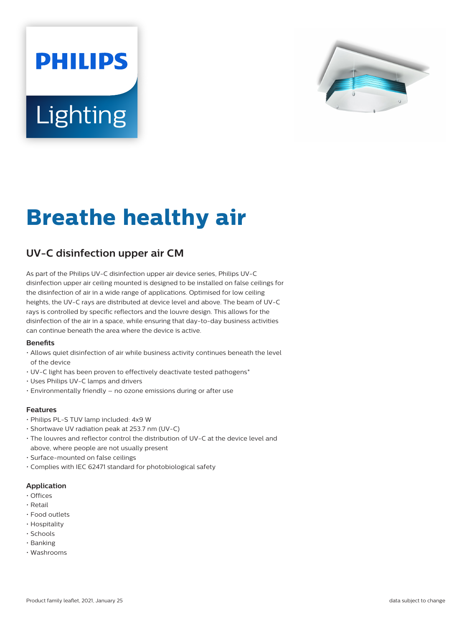# **PHILIPS Lighting**



## **Breathe healthy air**

### **UV-C disinfection upper air CM**

As part of the Philips UV-C disinfection upper air device series, Philips UV-C disinfection upper air ceiling mounted is designed to be installed on false ceilings for the disinfection of air in a wide range of applications. Optimised for low ceiling heights, the UV-C rays are distributed at device level and above. The beam of UV-C rays is controlled by specific reflectors and the louvre design. This allows for the disinfection of the air in a space, while ensuring that day-to-day business activities can continue beneath the area where the device is active.

#### **Benets**

- Allows quiet disinfection of air while business activity continues beneath the level of the device
- UV-C light has been proven to effectively deactivate tested pathogens\*
- Uses Philips UV-C lamps and drivers
- Environmentally friendly no ozone emissions during or after use

#### **Features**

- Philips PL-S TUV lamp included: 4x9 W
- Shortwave UV radiation peak at 253.7 nm (UV-C)
- The louvres and reflector control the distribution of UV-C at the device level and above, where people are not usually present
- Surface-mounted on false ceilings
- Complies with IEC 62471 standard for photobiological safety

#### **Application**

- Offices
- Retail
- Food outlets
- Hospitality
- Schools
- Banking
- Washrooms